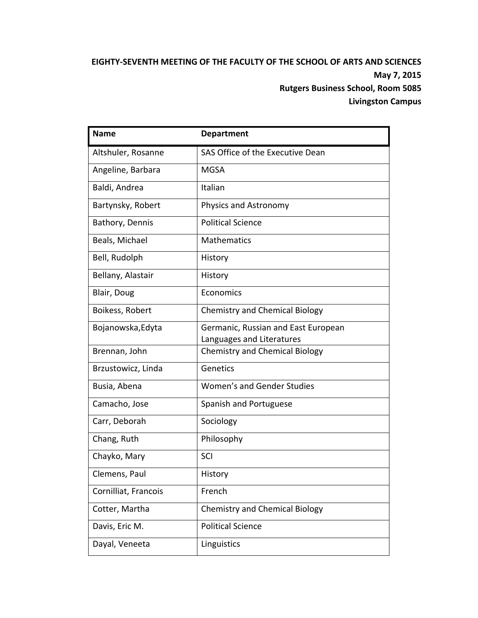# **EIGHTY‐SEVENTH MEETING OF THE FACULTY OF THE SCHOOL OF ARTS AND SCIENCES May 7, 2015 Rutgers Business School, Room 5085 Livingston Campus**

| <b>Name</b>          | <b>Department</b>                     |
|----------------------|---------------------------------------|
| Altshuler, Rosanne   | SAS Office of the Executive Dean      |
| Angeline, Barbara    | <b>MGSA</b>                           |
| Baldi, Andrea        | Italian                               |
| Bartynsky, Robert    | Physics and Astronomy                 |
| Bathory, Dennis      | <b>Political Science</b>              |
| Beals, Michael       | <b>Mathematics</b>                    |
| Bell, Rudolph        | History                               |
| Bellany, Alastair    | History                               |
| Blair, Doug          | Economics                             |
| Boikess, Robert      | <b>Chemistry and Chemical Biology</b> |
| Bojanowska, Edyta    | Germanic, Russian and East European   |
|                      | Languages and Literatures             |
| Brennan, John        | <b>Chemistry and Chemical Biology</b> |
| Brzustowicz, Linda   | Genetics                              |
| Busia, Abena         | Women's and Gender Studies            |
| Camacho, Jose        | Spanish and Portuguese                |
| Carr, Deborah        | Sociology                             |
| Chang, Ruth          | Philosophy                            |
| Chayko, Mary         | SCI                                   |
| Clemens, Paul        | History                               |
| Cornilliat, Francois | French                                |
| Cotter, Martha       | <b>Chemistry and Chemical Biology</b> |
| Davis, Eric M.       | <b>Political Science</b>              |
| Dayal, Veneeta       | Linguistics                           |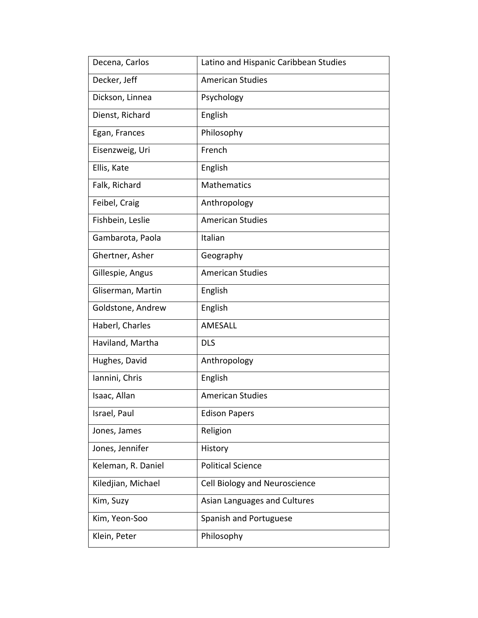| Decena, Carlos     | Latino and Hispanic Caribbean Studies |
|--------------------|---------------------------------------|
| Decker, Jeff       | <b>American Studies</b>               |
| Dickson, Linnea    | Psychology                            |
| Dienst, Richard    | English                               |
| Egan, Frances      | Philosophy                            |
| Eisenzweig, Uri    | French                                |
| Ellis, Kate        | English                               |
| Falk, Richard      | Mathematics                           |
| Feibel, Craig      | Anthropology                          |
| Fishbein, Leslie   | <b>American Studies</b>               |
| Gambarota, Paola   | Italian                               |
| Ghertner, Asher    | Geography                             |
| Gillespie, Angus   | <b>American Studies</b>               |
| Gliserman, Martin  | English                               |
| Goldstone, Andrew  | English                               |
| Haberl, Charles    | AMESALL                               |
| Haviland, Martha   | <b>DLS</b>                            |
| Hughes, David      | Anthropology                          |
| Iannini, Chris     | English                               |
| Isaac, Allan       | <b>American Studies</b>               |
| Israel, Paul       | <b>Edison Papers</b>                  |
| Jones, James       | Religion                              |
| Jones, Jennifer    | History                               |
| Keleman, R. Daniel | <b>Political Science</b>              |
| Kiledjian, Michael | Cell Biology and Neuroscience         |
| Kim, Suzy          | Asian Languages and Cultures          |
| Kim, Yeon-Soo      | Spanish and Portuguese                |
| Klein, Peter       | Philosophy                            |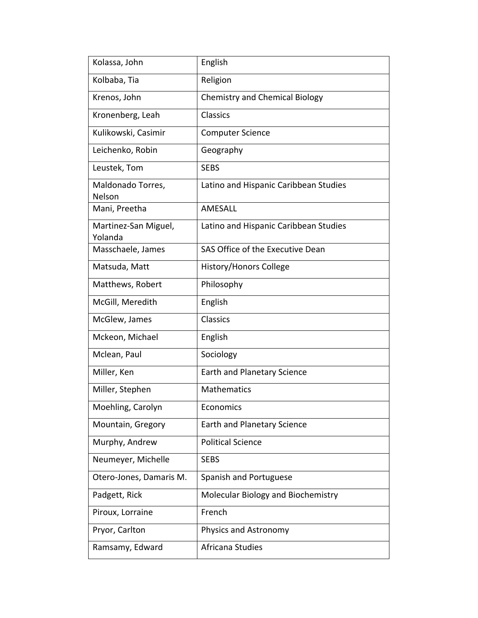| Kolassa, John                   | English                               |
|---------------------------------|---------------------------------------|
| Kolbaba, Tia                    | Religion                              |
| Krenos, John                    | <b>Chemistry and Chemical Biology</b> |
| Kronenberg, Leah                | Classics                              |
| Kulikowski, Casimir             | <b>Computer Science</b>               |
| Leichenko, Robin                | Geography                             |
| Leustek, Tom                    | <b>SEBS</b>                           |
| Maldonado Torres,<br>Nelson     | Latino and Hispanic Caribbean Studies |
| Mani, Preetha                   | AMESALL                               |
| Martinez-San Miguel,<br>Yolanda | Latino and Hispanic Caribbean Studies |
| Masschaele, James               | SAS Office of the Executive Dean      |
| Matsuda, Matt                   | <b>History/Honors College</b>         |
| Matthews, Robert                | Philosophy                            |
| McGill, Meredith                | English                               |
| McGlew, James                   | <b>Classics</b>                       |
| Mckeon, Michael                 | English                               |
| Mclean, Paul                    | Sociology                             |
| Miller, Ken                     | <b>Earth and Planetary Science</b>    |
| Miller, Stephen                 | Mathematics                           |
| Moehling, Carolyn               | Economics                             |
| Mountain, Gregory               | Earth and Planetary Science           |
| Murphy, Andrew                  | <b>Political Science</b>              |
| Neumeyer, Michelle              | <b>SEBS</b>                           |
| Otero-Jones, Damaris M.         | Spanish and Portuguese                |
| Padgett, Rick                   | Molecular Biology and Biochemistry    |
| Piroux, Lorraine                | French                                |
| Pryor, Carlton                  | Physics and Astronomy                 |
| Ramsamy, Edward                 | Africana Studies                      |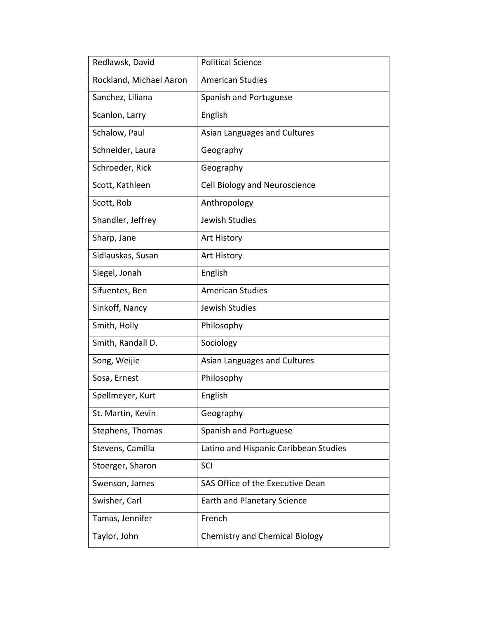| Redlawsk, David         | <b>Political Science</b>              |
|-------------------------|---------------------------------------|
| Rockland, Michael Aaron | <b>American Studies</b>               |
| Sanchez, Liliana        | Spanish and Portuguese                |
| Scanlon, Larry          | English                               |
| Schalow, Paul           | Asian Languages and Cultures          |
| Schneider, Laura        | Geography                             |
| Schroeder, Rick         | Geography                             |
| Scott, Kathleen         | Cell Biology and Neuroscience         |
| Scott, Rob              | Anthropology                          |
| Shandler, Jeffrey       | Jewish Studies                        |
| Sharp, Jane             | Art History                           |
| Sidlauskas, Susan       | Art History                           |
| Siegel, Jonah           | English                               |
| Sifuentes, Ben          | <b>American Studies</b>               |
| Sinkoff, Nancy          | Jewish Studies                        |
| Smith, Holly            | Philosophy                            |
| Smith, Randall D.       | Sociology                             |
| Song, Weijie            | Asian Languages and Cultures          |
| Sosa, Ernest            | Philosophy                            |
| Spellmeyer, Kurt        | English                               |
| St. Martin, Kevin       | Geography                             |
| Stephens, Thomas        | Spanish and Portuguese                |
| Stevens, Camilla        | Latino and Hispanic Caribbean Studies |
| Stoerger, Sharon        | SCI                                   |
| Swenson, James          | SAS Office of the Executive Dean      |
| Swisher, Carl           | <b>Earth and Planetary Science</b>    |
| Tamas, Jennifer         | French                                |
| Taylor, John            | <b>Chemistry and Chemical Biology</b> |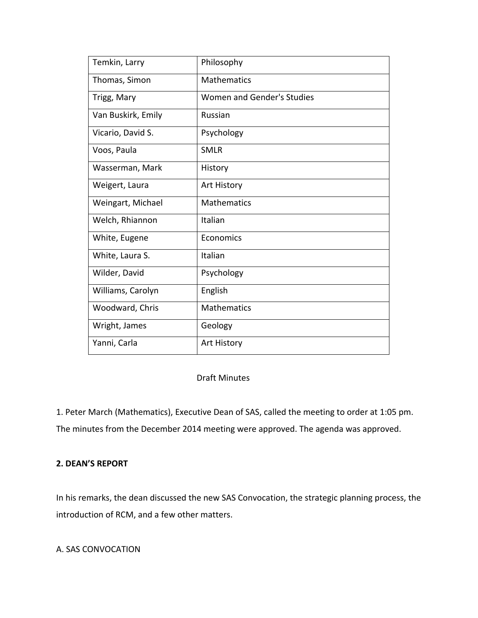| Temkin, Larry      | Philosophy                 |
|--------------------|----------------------------|
| Thomas, Simon      | <b>Mathematics</b>         |
| Trigg, Mary        | Women and Gender's Studies |
| Van Buskirk, Emily | Russian                    |
| Vicario, David S.  | Psychology                 |
| Voos, Paula        | <b>SMLR</b>                |
| Wasserman, Mark    | History                    |
| Weigert, Laura     | Art History                |
| Weingart, Michael  | <b>Mathematics</b>         |
| Welch, Rhiannon    | Italian                    |
| White, Eugene      | Economics                  |
| White, Laura S.    | Italian                    |
| Wilder, David      | Psychology                 |
| Williams, Carolyn  | English                    |
| Woodward, Chris    | <b>Mathematics</b>         |
| Wright, James      | Geology                    |
| Yanni, Carla       | <b>Art History</b>         |

## Draft Minutes

1. Peter March (Mathematics), Executive Dean of SAS, called the meeting to order at 1:05 pm. The minutes from the December 2014 meeting were approved. The agenda was approved.

## **2. DEAN'S REPORT**

In his remarks, the dean discussed the new SAS Convocation, the strategic planning process, the introduction of RCM, and a few other matters.

A. SAS CONVOCATION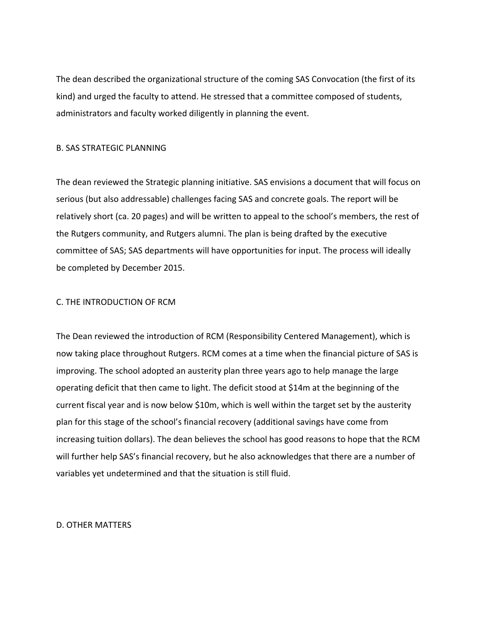The dean described the organizational structure of the coming SAS Convocation (the first of its kind) and urged the faculty to attend. He stressed that a committee composed of students, administrators and faculty worked diligently in planning the event.

#### B. SAS STRATEGIC PLANNING

The dean reviewed the Strategic planning initiative. SAS envisions a document that will focus on serious (but also addressable) challenges facing SAS and concrete goals. The report will be relatively short (ca. 20 pages) and will be written to appeal to the school's members, the rest of the Rutgers community, and Rutgers alumni. The plan is being drafted by the executive committee of SAS; SAS departments will have opportunities for input. The process will ideally be completed by December 2015.

### C. THE INTRODUCTION OF RCM

The Dean reviewed the introduction of RCM (Responsibility Centered Management), which is now taking place throughout Rutgers. RCM comes at a time when the financial picture of SAS is improving. The school adopted an austerity plan three years ago to help manage the large operating deficit that then came to light. The deficit stood at \$14m at the beginning of the current fiscal year and is now below \$10m, which is well within the target set by the austerity plan for this stage of the school's financial recovery (additional savings have come from increasing tuition dollars). The dean believes the school has good reasons to hope that the RCM will further help SAS's financial recovery, but he also acknowledges that there are a number of variables yet undetermined and that the situation is still fluid.

#### D. OTHER MATTERS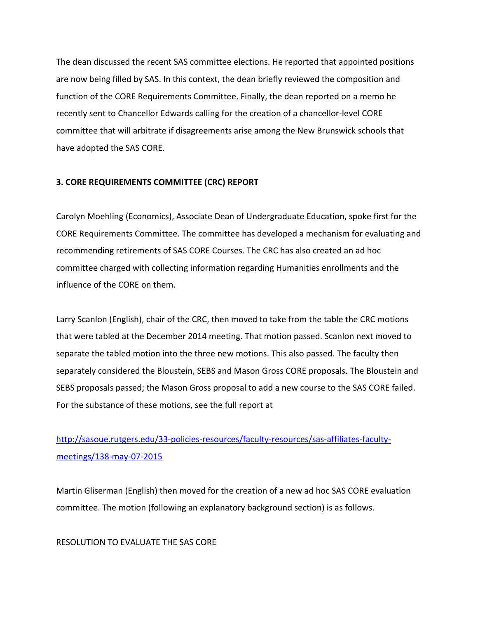The dean discussed the recent SAS committee elections. He reported that appointed positions are now being filled by SAS. In this context, the dean briefly reviewed the composition and function of the CORE Requirements Committee. Finally, the dean reported on a memo he recently sent to Chancellor Edwards calling for the creation of a chancellor‐level CORE committee that will arbitrate if disagreements arise among the New Brunswick schools that have adopted the SAS CORE.

### **3. CORE REQUIREMENTS COMMITTEE (CRC) REPORT**

Carolyn Moehling (Economics), Associate Dean of Undergraduate Education, spoke first for the CORE Requirements Committee. The committee has developed a mechanism for evaluating and recommending retirements of SAS CORE Courses. The CRC has also created an ad hoc committee charged with collecting information regarding Humanities enrollments and the influence of the CORE on them.

Larry Scanlon (English), chair of the CRC, then moved to take from the table the CRC motions that were tabled at the December 2014 meeting. That motion passed. Scanlon next moved to separate the tabled motion into the three new motions. This also passed. The faculty then separately considered the Bloustein, SEBS and Mason Gross CORE proposals. The Bloustein and SEBS proposals passed; the Mason Gross proposal to add a new course to the SAS CORE failed. For the substance of these motions, see the full report at

# http://sasoue.rutgers.edu/33-policies-resources/faculty-resources/sas-affiliates-facultymeetings/138‐may‐07‐2015

Martin Gliserman (English) then moved for the creation of a new ad hoc SAS CORE evaluation committee. The motion (following an explanatory background section) is as follows.

RESOLUTION TO EVALUATE THE SAS CORE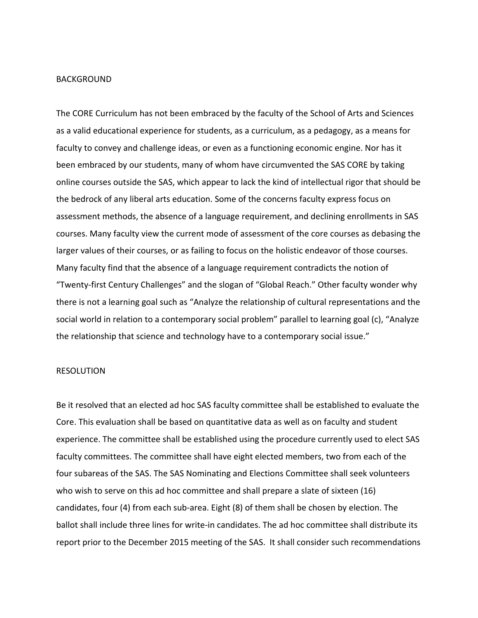#### **BACKGROUND**

The CORE Curriculum has not been embraced by the faculty of the School of Arts and Sciences as a valid educational experience for students, as a curriculum, as a pedagogy, as a means for faculty to convey and challenge ideas, or even as a functioning economic engine. Nor has it been embraced by our students, many of whom have circumvented the SAS CORE by taking online courses outside the SAS, which appear to lack the kind of intellectual rigor that should be the bedrock of any liberal arts education. Some of the concerns faculty express focus on assessment methods, the absence of a language requirement, and declining enrollments in SAS courses. Many faculty view the current mode of assessment of the core courses as debasing the larger values of their courses, or as failing to focus on the holistic endeavor of those courses. Many faculty find that the absence of a language requirement contradicts the notion of "Twenty‐first Century Challenges" and the slogan of "Global Reach." Other faculty wonder why there is not a learning goal such as "Analyze the relationship of cultural representations and the social world in relation to a contemporary social problem" parallel to learning goal (c), "Analyze the relationship that science and technology have to a contemporary social issue."

#### RESOLUTION

Be it resolved that an elected ad hoc SAS faculty committee shall be established to evaluate the Core. This evaluation shall be based on quantitative data as well as on faculty and student experience. The committee shall be established using the procedure currently used to elect SAS faculty committees. The committee shall have eight elected members, two from each of the four subareas of the SAS. The SAS Nominating and Elections Committee shall seek volunteers who wish to serve on this ad hoc committee and shall prepare a slate of sixteen (16) candidates, four (4) from each sub‐area. Eight (8) of them shall be chosen by election. The ballot shall include three lines for write‐in candidates. The ad hoc committee shall distribute its report prior to the December 2015 meeting of the SAS. It shall consider such recommendations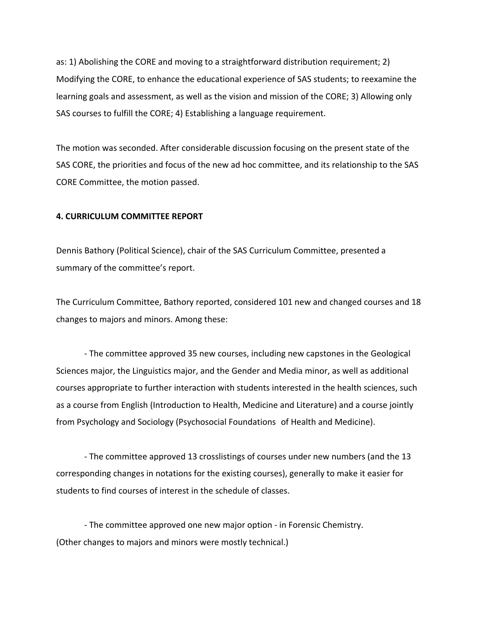as: 1) Abolishing the CORE and moving to a straightforward distribution requirement; 2) Modifying the CORE, to enhance the educational experience of SAS students; to reexamine the learning goals and assessment, as well as the vision and mission of the CORE; 3) Allowing only SAS courses to fulfill the CORE; 4) Establishing a language requirement.

The motion was seconded. After considerable discussion focusing on the present state of the SAS CORE, the priorities and focus of the new ad hoc committee, and its relationship to the SAS CORE Committee, the motion passed.

#### **4. CURRICULUM COMMITTEE REPORT**

Dennis Bathory (Political Science), chair of the SAS Curriculum Committee, presented a summary of the committee's report.

The Curriculum Committee, Bathory reported, considered 101 new and changed courses and 18 changes to majors and minors. Among these:

 ‐ The committee approved 35 new courses, including new capstones in the Geological Sciences major, the Linguistics major, and the Gender and Media minor, as well as additional courses appropriate to further interaction with students interested in the health sciences, such as a course from English (Introduction to Health, Medicine and Literature) and a course jointly from Psychology and Sociology (Psychosocial Foundations of Health and Medicine).

 ‐ The committee approved 13 crosslistings of courses under new numbers (and the 13 corresponding changes in notations for the existing courses), generally to make it easier for students to find courses of interest in the schedule of classes.

 ‐ The committee approved one new major option ‐ in Forensic Chemistry. (Other changes to majors and minors were mostly technical.)